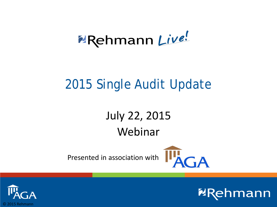# **PRehmann Live!**

### 2015 Single Audit Update

### July 22, 2015 Webinar

Presented in association with



**ERehmann** 

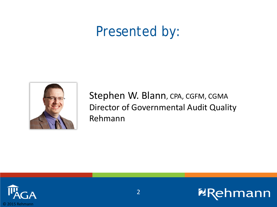### Presented by:



Stephen W. Blann, CPA, CGFM, CGMA Director of Governmental Audit Quality Rehmann

**ERehmann** 

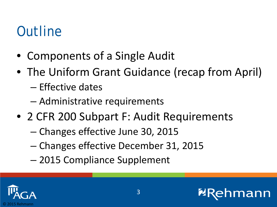### **Outline**

- Components of a Single Audit
- The Uniform Grant Guidance (recap from April) – Effective dates
	- Administrative requirements
- 2 CFR 200 Subpart F: Audit Requirements
	- Changes effective June 30, 2015
	- Changes effective December 31, 2015
	- 2015 Compliance Supplement



ann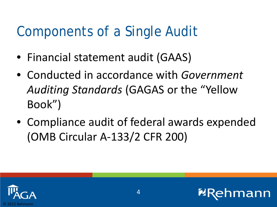### Components of a Single Audit

- Financial statement audit (GAAS)
- Conducted in accordance with *Government Auditing Standards* (GAGAS or the "Yellow Book")
- Compliance audit of federal awards expended (OMB Circular A-133/2 CFR 200)

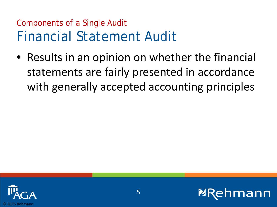#### Components of a Single Audit Financial Statement Audit

• Results in an opinion on whether the financial statements are fairly presented in accordance with generally accepted accounting principles

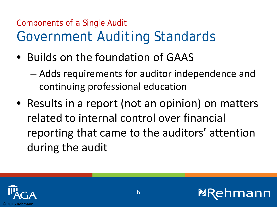### Components of a Single Audit *Government Auditing Standards*

• Builds on the foundation of GAAS

– Adds requirements for auditor independence and continuing professional education

• Results in a report (not an opinion) on matters related to internal control over financial reporting that came to the auditors' attention during the audit

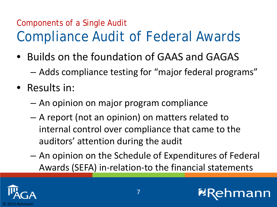### Components of a Single Audit Compliance Audit of Federal Awards

- Builds on the foundation of GAAS and GAGAS
	- Adds compliance testing for "major federal programs"
- Results in:
	- An opinion on major program compliance
	- A report (not an opinion) on matters related to internal control over compliance that came to the auditors' attention during the audit
	- An opinion on the Schedule of Expenditures of Federal Awards (SEFA) in-relation-to the financial statements

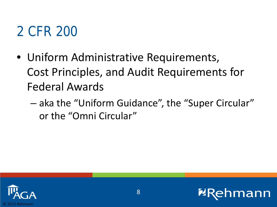# 2 CFR 200

- Uniform Administrative Requirements, Cost Principles, and Audit Requirements for Federal Awards
	- aka the "Uniform Guidance", the "Super Circular" or the "Omni Circular"

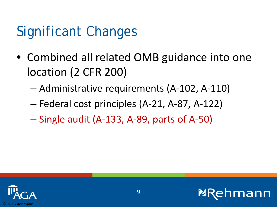# Significant Changes

- Combined all related OMB guidance into one location (2 CFR 200)
	- Administrative requirements (A-102, A-110)
	- Federal cost principles (A-21, A-87, A-122)
	- Single audit (A-133, A-89, parts of A-50)



ann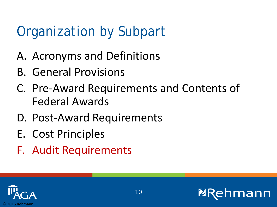# Organization by Subpart

- A. Acronyms and Definitions
- B. General Provisions
- C. Pre-Award Requirements and Contents of Federal Awards
- D. Post-Award Requirements
- E. Cost Principles
- F. Audit Requirements

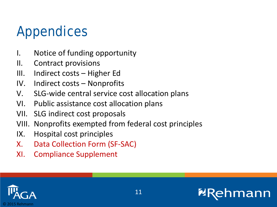# Appendices

- I. Notice of funding opportunity
- II. Contract provisions
- III. Indirect costs Higher Ed
- IV. Indirect costs Nonprofits
- V. SLG-wide central service cost allocation plans
- VI. Public assistance cost allocation plans
- VII. SLG indirect cost proposals
- VIII. Nonprofits exempted from federal cost principles
- IX. Hospital cost principles
- X. Data Collection Form (SF-SAC)
- XI. Compliance Supplement

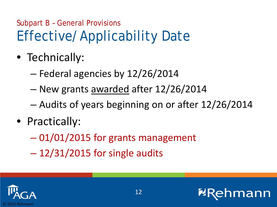### Subpart B – General Provisions Effective/Applicability Date

- Technically:
	- Federal agencies by 12/26/2014
	- New grants awarded after 12/26/2014
	- Audits of years beginning on or after 12/26/2014
- Practically:
	- 01/01/2015 for grants management
	- $-12/31/2015$  for single audits

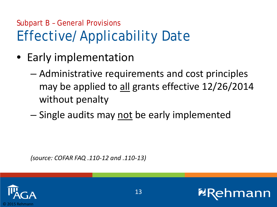### Subpart B – General Provisions Effective/Applicability Date

- Early implementation
	- Administrative requirements and cost principles may be applied to all grants effective 12/26/2014 without penalty
	- Single audits may not be early implemented

*(source: COFAR FAQ .110-12 and .110-13)*

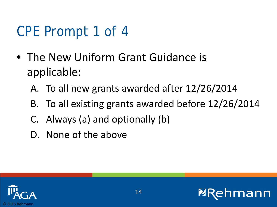# CPE Prompt 1 of 4

- The New Uniform Grant Guidance is applicable:
	- A. To all new grants awarded after 12/26/2014
	- B. To all existing grants awarded before 12/26/2014
	- C. Always (a) and optionally (b)
	- D. None of the above



ann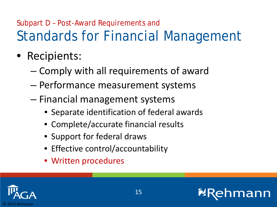### Subpart D – Post-Award Requirements and Standards for Financial Management

- Recipients:
	- Comply with all requirements of award
	- Performance measurement systems
	- Financial management systems
		- Separate identification of federal awards
		- Complete/accurate financial results
		- Support for federal draws
		- Effective control/accountability
		- Written procedures

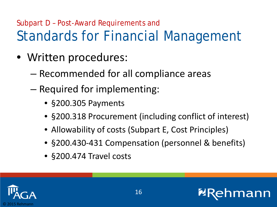### Subpart D – Post-Award Requirements and Standards for Financial Management

- Written procedures:
	- Recommended for all compliance areas
	- Required for implementing:
		- §200.305 Payments
		- §200.318 Procurement (including conflict of interest)
		- Allowability of costs (Subpart E, Cost Principles)
		- §200.430-431 Compensation (personnel & benefits)
		- §200.474 Travel costs

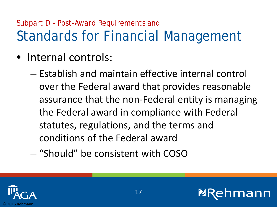### Subpart D – Post-Award Requirements and Standards for Financial Management

- Internal controls:
	- Establish and maintain effective internal control over the Federal award that provides reasonable assurance that the non-Federal entity is managing the Federal award in compliance with Federal statutes, regulations, and the terms and conditions of the Federal award
	- "Should" be consistent with COSO



ann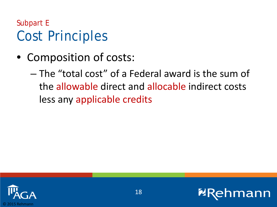Subpart E Cost Principles

• Composition of costs:

– The "total cost" of a Federal award is the sum of the allowable direct and allocable indirect costs less any applicable credits



**2F**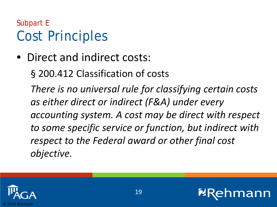#### Subpart E Cost Principles

• Direct and indirect costs:

§ 200.412 Classification of costs

*There is no universal rule for classifying certain costs as either direct or indirect (F&A) under every accounting system. A cost may be direct with respect to some specific service or function, but indirect with respect to the Federal award or other final cost objective.*

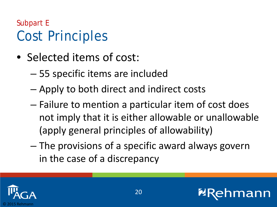#### Subpart E Cost Principles

- Selected items of cost:
	- 55 specific items are included
	- Apply to both direct and indirect costs
	- Failure to mention a particular item of cost does not imply that it is either allowable or unallowable (apply general principles of allowability)
	- The provisions of a specific award always govern in the case of a discrepancy

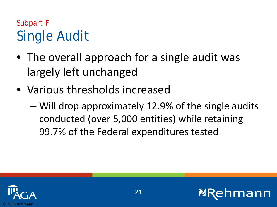#### Subpart F Single Audit

- The overall approach for a single audit was largely left unchanged
- Various thresholds increased
	- Will drop approximately 12.9% of the single audits conducted (over 5,000 entities) while retaining 99.7% of the Federal expenditures tested



ann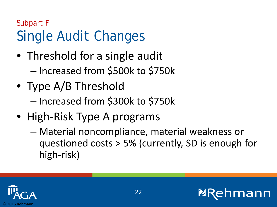- Threshold for a single audit – Increased from \$500k to \$750k
- Type A/B Threshold – Increased from \$300k to \$750k
- High-Risk Type A programs
	- Material noncompliance, material weakness or questioned costs > 5% (currently, SD is enough for high-risk)

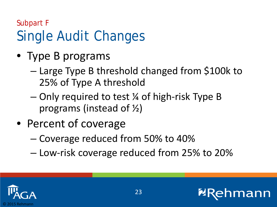- Type B programs
	- Large Type B threshold changed from \$100k to 25% of Type A threshold
	- Only required to test ¼ of high-risk Type B programs (instead of ½)
- Percent of coverage
	- Coverage reduced from 50% to 40%
	- Low-risk coverage reduced from 25% to 20%

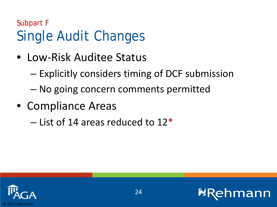- Low-Risk Auditee Status
	- Explicitly considers timing of DCF submission
	- No going concern comments permitted
- Compliance Areas
	- $-$  List of 14 areas reduced to 12<sup>\*</sup>

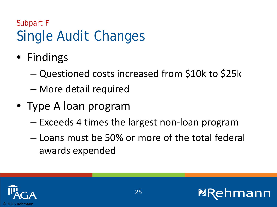- Findings
	- Questioned costs increased from \$10k to \$25k
	- More detail required
- Type A loan program
	- Exceeds 4 times the largest non-loan program
	- Loans must be 50% or more of the total federal awards expended

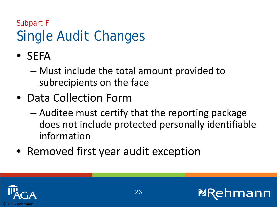Subpart F

# Single Audit Changes

- SEFA
	- Must include the total amount provided to subrecipients on the face
- Data Collection Form
	- Auditee must certify that the reporting package does not include protected personally identifiable information
- Removed first year audit exception

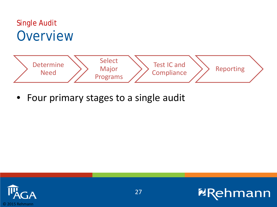



• Four primary stages to a single audit



**ERehmann**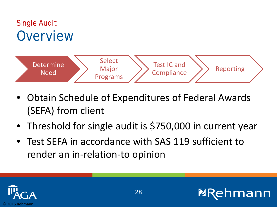

- Obtain Schedule of Expenditures of Federal Awards (SEFA) from client
- Threshold for single audit is \$750,000 in current year
- Test SEFA in accordance with SAS 119 sufficient to render an in-relation-to opinion

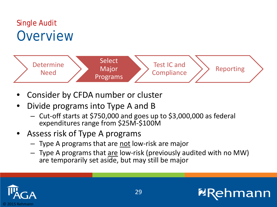

- Consider by CFDA number or cluster
- Divide programs into Type A and B
	- Cut-off starts at \$750,000 and goes up to \$3,000,000 as federal expenditures range from \$25M-\$100M
- Assess risk of Type A programs
	- Type A programs that are not low-risk are major
	- Type A programs that are low-risk (previously audited with no MW) are temporarily set aside, but may still be major



mann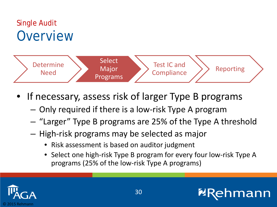

- If necessary, assess risk of larger Type B programs
	- Only required if there is a low-risk Type A program
	- "Larger" Type B programs are 25% of the Type A threshold
	- High-risk programs may be selected as major
		- Risk assessment is based on auditor judgment
		- Select one high-risk Type B program for every four low-risk Type A programs (25% of the low-risk Type A programs)

**Imann** 

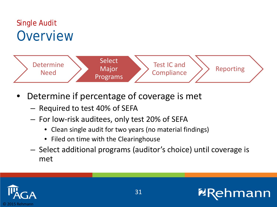

- Determine if percentage of coverage is met
	- Required to test 40% of SEFA
	- For low-risk auditees, only test 20% of SEFA
		- Clean single audit for two years (no material findings)
		- Filed on time with the Clearinghouse
	- Select additional programs (auditor's choice) until coverage is met



**nmann** 

**2R**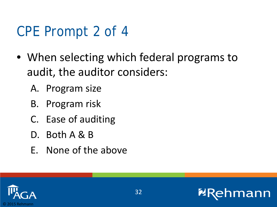# CPE Prompt 2 of 4

- When selecting which federal programs to audit, the auditor considers:
	- A. Program size
	- B. Program risk
	- C. Ease of auditing
	- D. Both A & B
	- E. None of the above

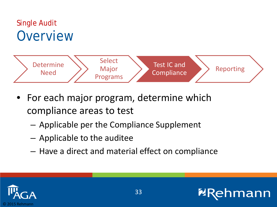

- For each major program, determine which compliance areas to test
	- Applicable per the Compliance Supplement
	- Applicable to the auditee
	- Have a direct and material effect on compliance



mann

**2F**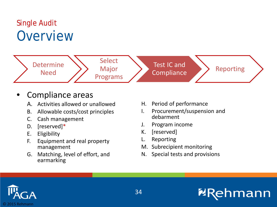

#### • Compliance areas

- A. Activities allowed or unallowed
- B. Allowable costs/cost principles
- C. Cash management
- D. [reserved]\*
- E. Eligibility
- F. Equipment and real property management
- G. Matching, level of effort, and earmarking
- H. Period of performance
- I. Procurement/suspension and debarment
- J. Program income
- K. [reserved]
- L. Reporting
- M. Subrecipient monitoring
- N. Special tests and provisions

**NR** 

hmann

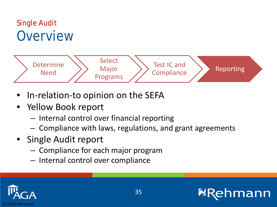

- In-relation-to opinion on the SEFA
- Yellow Book report
	- Internal control over financial reporting
	- Compliance with laws, regulations, and grant agreements
- Single Audit report
	- Compliance for each major program
	- Internal control over compliance



**nmann**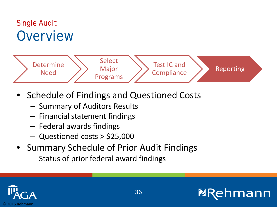

- Schedule of Findings and Questioned Costs
	- Summary of Auditors Results
	- Financial statement findings
	- Federal awards findings
	- Questioned costs > \$25,000
- Summary Schedule of Prior Audit Findings
	- Status of prior federal award findings



**nmann**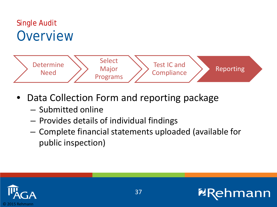#### Single Audit **Overview**



- Data Collection Form and reporting package
	- Submitted online
	- Provides details of individual findings
	- Complete financial statements uploaded (available for public inspection)



mann

**2F**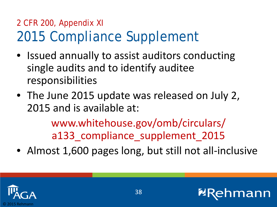#### 2 CFR 200, Appendix XI 2015 Compliance Supplement

- Issued annually to assist auditors conducting single audits and to identify auditee responsibilities
- The June 2015 update was released on July 2, 2015 and is available at:

www.whitehouse.gov/omb/circulars/ a133 compliance supplement 2015

• Almost 1,600 pages long, but still not all-inclusive

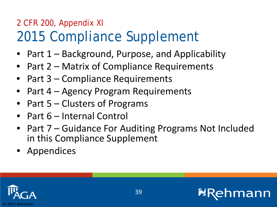#### 2 CFR 200, Appendix XI 2015 Compliance Supplement

- Part  $1 -$  Background, Purpose, and Applicability
- Part 2 Matrix of Compliance Requirements
- Part 3 Compliance Requirements
- Part 4 Agency Program Requirements
- Part 5 Clusters of Programs
- Part 6 Internal Control
- Part 7 Guidance For Auditing Programs Not Included in this Compliance Supplement
- Appendices

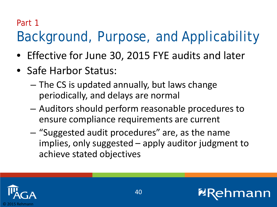#### Part 1

# Background, Purpose, and Applicability

- Effective for June 30, 2015 FYE audits and later
- Safe Harbor Status:
	- The CS is updated annually, but laws change periodically, and delays are normal
	- Auditors should perform reasonable procedures to ensure compliance requirements are current
	- "Suggested audit procedures" are, as the name implies, only suggested – apply auditor judgment to achieve stated objectives

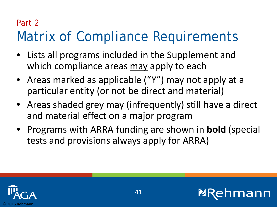#### Part 2

# Matrix of Compliance Requirements

- Lists all programs included in the Supplement and which compliance areas may apply to each
- Areas marked as applicable ("Y") may not apply at a particular entity (or not be direct and material)
- Areas shaded grey may (infrequently) still have a direct and material effect on a major program
- Programs with ARRA funding are shown in **bold** (special tests and provisions always apply for ARRA)

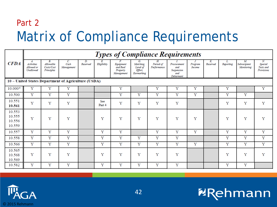#### Part 2 Matrix of Compliance Requirements

|                                      | <b>Types of Compliance Requirements</b>                          |                                             |                          |                |               |                                                 |                                                      |                                |                                                      |                   |                |           |                                  |                                                      |  |
|--------------------------------------|------------------------------------------------------------------|---------------------------------------------|--------------------------|----------------|---------------|-------------------------------------------------|------------------------------------------------------|--------------------------------|------------------------------------------------------|-------------------|----------------|-----------|----------------------------------|------------------------------------------------------|--|
| <b>CFDA</b>                          | $\boldsymbol{A}$<br><b>Activities</b><br>Allowed or<br>Unallowed | В.<br>Allowable<br>Costs/Cost<br>Principles | C.<br>Cash<br>Management | D.<br>Reserved | Eligibility   | Equipment<br>and Real<br>Property<br>Management | G.<br>Matching,<br>Level of<br>Effort,<br>Earmarking | Н.<br>Period of<br>Performance | Procurement<br>and<br>Suspension<br>and<br>Debarment | Program<br>Income | K.<br>Reserved | Reporting | M.<br>Subrecipient<br>Monitoring | $\overline{N}$<br>Special<br>Tests and<br>Provisions |  |
|                                      | 10 - United States Department of Agriculture (USDA)              |                                             |                          |                |               |                                                 |                                                      |                                |                                                      |                   |                |           |                                  |                                                      |  |
| 10.000*                              | Y                                                                | Y                                           | Y                        |                |               | Y                                               |                                                      | Y                              | Y                                                    | Y                 |                | Υ         |                                  | Y                                                    |  |
| 10.500                               | Y                                                                | Y                                           | Y                        |                |               | Y                                               | Υ                                                    | Y                              | Y                                                    | Y                 |                | Y         | Y                                |                                                      |  |
| 10.551<br>10.561                     | Y                                                                | Υ                                           | Y                        |                | See<br>Part 4 | Y                                               | Y                                                    | Y                              | Y                                                    |                   |                | Υ         | Y                                | Y                                                    |  |
| 10.553<br>10.555<br>10.556<br>10.559 | Y                                                                | Y                                           | Y                        |                | Y             | Y                                               | Y                                                    | Y                              | Y                                                    | Y                 |                | Y         | Y                                | Y                                                    |  |
| 10.557                               | Υ                                                                | Y                                           | Y                        |                | Y             | Y                                               |                                                      | Y                              | Y                                                    | Y                 |                | Y         | Y                                | Y                                                    |  |
| 10.558                               | Y                                                                | Y                                           | Y                        |                | Y             | Y                                               | Υ                                                    | Y                              | Y                                                    |                   |                | Y         | Y                                | Y                                                    |  |
| 10.566                               | Y                                                                | Υ                                           | Y                        |                | Y             | Y                                               | Y                                                    | Y                              | Y                                                    | Y                 |                | Y         | Y                                | Y                                                    |  |
| 10.565<br>10.568<br>10.569           | Y                                                                | Y                                           | Y                        |                | Y             | Y                                               | Y                                                    | Y                              | Y                                                    |                   |                | Y         | Y                                | Y                                                    |  |
| 10.582                               | Y                                                                | Y                                           | Y                        |                | Υ             | Υ                                               | Υ                                                    | Υ                              | Y                                                    |                   |                | Y         | Y                                |                                                      |  |



**ERehmann**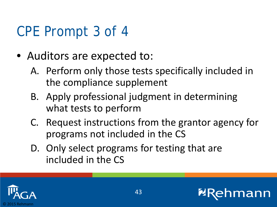# CPE Prompt 3 of 4

- Auditors are expected to:
	- A. Perform only those tests specifically included in the compliance supplement
	- B. Apply professional judgment in determining what tests to perform
	- C. Request instructions from the grantor agency for programs not included in the CS
	- D. Only select programs for testing that are included in the CS

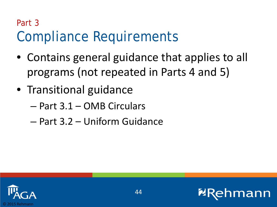### Part 3 Compliance Requirements

- Contains general guidance that applies to all programs (not repeated in Parts 4 and 5)
- Transitional guidance
	- Part 3.1 OMB Circulars
	- Part 3.2 Uniform Guidance



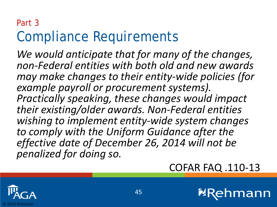#### Part 3 Compliance Requirements

*We would anticipate that for many of the changes, non-Federal entities with both old and new awards may make changes to their entity-wide policies (for example payroll or procurement systems). Practically speaking, these changes would impact their existing/older awards. Non-Federal entities wishing to implement entity-wide system changes to comply with the Uniform Guidance after the effective date of December 26, 2014 will not be penalized for doing so.* 

#### COFAR FAQ .110-13

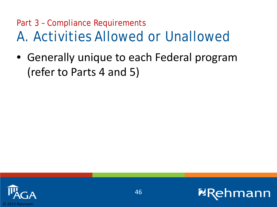#### Part 3 – Compliance Requirements A. Activities Allowed or Unallowed

• Generally unique to each Federal program (refer to Parts 4 and 5)



mann

**2F**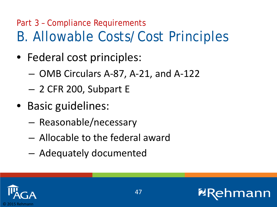### Part 3 – Compliance Requirements B. Allowable Costs/Cost Principles

- Federal cost principles:
	- OMB Circulars A-87, A-21, and A-122
	- 2 CFR 200, Subpart E
- Basic guidelines:
	- Reasonable/necessary
	- Allocable to the federal award
	- Adequately documented

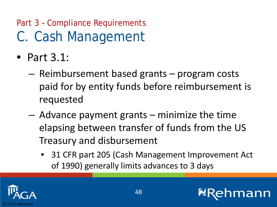## Part 3 – Compliance Requirements C. Cash Management

- Part 3.1:
	- Reimbursement based grants program costs paid for by entity funds before reimbursement is requested
	- Advance payment grants minimize the time elapsing between transfer of funds from the US Treasury and disbursement
		- 31 CFR part 205 (Cash Management Improvement Act of 1990) generally limits advances to 3 days

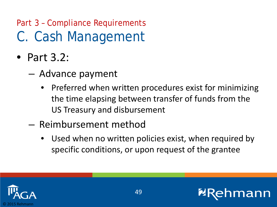### Part 3 – Compliance Requirements C. Cash Management

- Part 3.2:
	- Advance payment
		- Preferred when written procedures exist for minimizing the time elapsing between transfer of funds from the US Treasury and disbursement
	- Reimbursement method
		- Used when no written policies exist, when required by specific conditions, or upon request of the grantee

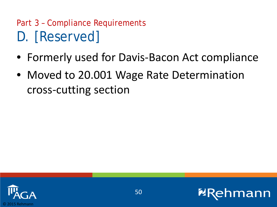### Part 3 – Compliance Requirements D. [Reserved]

- Formerly used for Davis-Bacon Act compliance
- Moved to 20.001 Wage Rate Determination cross-cutting section



**2F**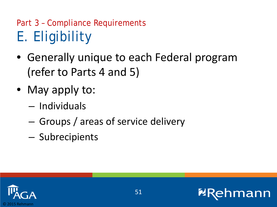## Part 3 – Compliance Requirements E. Eligibility

- Generally unique to each Federal program (refer to Parts 4 and 5)
- May apply to:
	- Individuals
	- Groups / areas of service delivery
	- Subrecipients

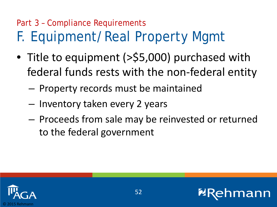# Part 3 – Compliance Requirements F. Equipment/Real Property Mgmt

- Title to equipment (>\$5,000) purchased with federal funds rests with the non-federal entity
	- Property records must be maintained
	- Inventory taken every 2 years
	- Proceeds from sale may be reinvested or returned to the federal government



חו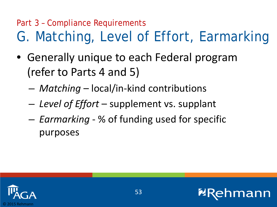## Part 3 – Compliance Requirements G. Matching, Level of Effort, Earmarking

- Generally unique to each Federal program (refer to Parts 4 and 5)
	- *Matching* local/in-kind contributions
	- *Level of Effort*  supplement vs. supplant
	- *Earmarking* % of funding used for specific purposes



חו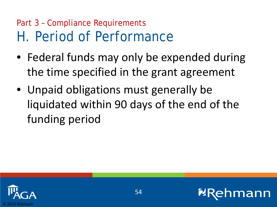#### Part 3 – Compliance Requirements H. Period of Performance

- Federal funds may only be expended during the time specified in the grant agreement
- Unpaid obligations must generally be liquidated within 90 days of the end of the funding period



ann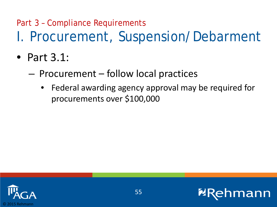### Part 3 – Compliance Requirements I. Procurement, Suspension/Debarment

- Part 3.1:
	- Procurement follow local practices
		- Federal awarding agency approval may be required for procurements over \$100,000



mann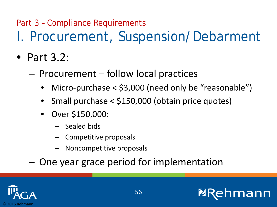### Part 3 – Compliance Requirements I. Procurement, Suspension/Debarment

- Part 3.2:
	- Procurement follow local practices
		- Micro-purchase < \$3,000 (need only be "reasonable")
		- Small purchase < \$150,000 (obtain price quotes)
		- Over \$150,000:
			- Sealed bids
			- Competitive proposals
			- Noncompetitive proposals

– One year grace period for implementation



mann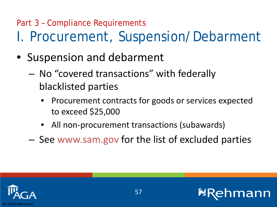#### Part 3 – Compliance Requirements I. Procurement, Suspension/Debarment

- Suspension and debarment
	- No "covered transactions" with federally blacklisted parties
		- Procurement contracts for goods or services expected to exceed \$25,000
		- All non-procurement transactions (subawards)
	- See www.sam.gov for the list of excluded parties

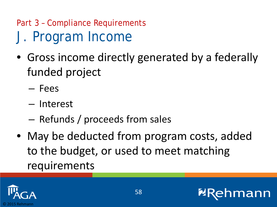## Part 3 – Compliance Requirements J. Program Income

- Gross income directly generated by a federally funded project
	- Fees
	- Interest
	- Refunds / proceeds from sales
- May be deducted from program costs, added to the budget, or used to meet matching requirements

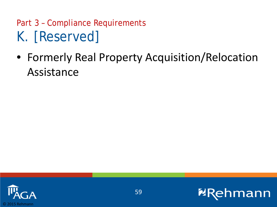#### Part 3 – Compliance Requirements K. [Reserved]

• Formerly Real Property Acquisition/Relocation Assistance



**2R** 

**nmann**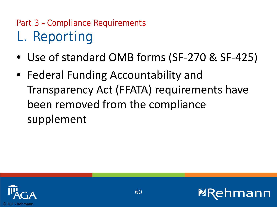## Part 3 – Compliance Requirements L. Reporting

- Use of standard OMB forms (SF-270 & SF-425)
- Federal Funding Accountability and Transparency Act (FFATA) requirements have been removed from the compliance supplement

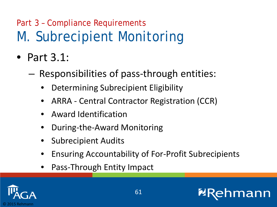## Part 3 – Compliance Requirements M. Subrecipient Monitoring

- Part 3.1:
	- Responsibilities of pass-through entities:
		- Determining Subrecipient Eligibility
		- ARRA Central Contractor Registration (CCR)
		- Award Identification
		- During-the-Award Monitoring
		- Subrecipient Audits
		- Ensuring Accountability of For-Profit Subrecipients
		- Pass-Through Entity Impact

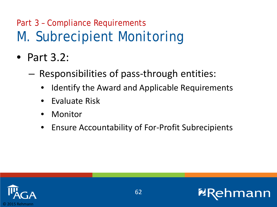### Part 3 – Compliance Requirements M. Subrecipient Monitoring

- Part 3.2:
	- Responsibilities of pass-through entities:
		- Identify the Award and Applicable Requirements
		- Evaluate Risk
		- Monitor
		- Ensure Accountability of For-Profit Subrecipients

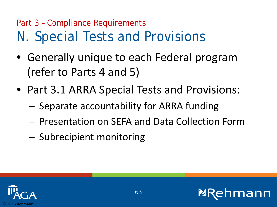#### Part 3 – Compliance Requirements N. Special Tests and Provisions

- Generally unique to each Federal program (refer to Parts 4 and 5)
- Part 3.1 ARRA Special Tests and Provisions:
	- Separate accountability for ARRA funding
	- Presentation on SEFA and Data Collection Form
	- Subrecipient monitoring



าท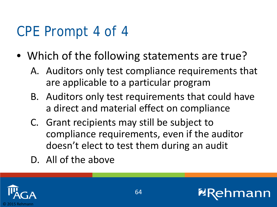# CPE Prompt 4 of 4

- Which of the following statements are true?
	- A. Auditors only test compliance requirements that are applicable to a particular program
	- B. Auditors only test requirements that could have a direct and material effect on compliance
	- C. Grant recipients may still be subject to compliance requirements, even if the auditor doesn't elect to test them during an audit
	- D. All of the above

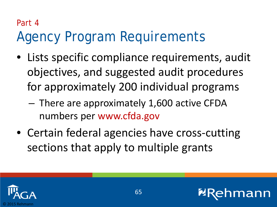# Part 4 Agency Program Requirements

- Lists specific compliance requirements, audit objectives, and suggested audit procedures for approximately 200 individual programs
	- There are approximately 1,600 active CFDA numbers per www.cfda.gov
- Certain federal agencies have cross-cutting sections that apply to multiple grants



חו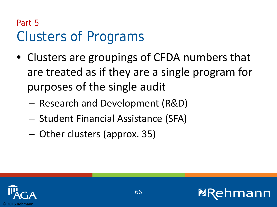#### Part 5 Clusters of Programs

- Clusters are groupings of CFDA numbers that are treated as if they are a single program for purposes of the single audit
	- Research and Development (R&D)
	- Student Financial Assistance (SFA)
	- Other clusters (approx. 35)



ann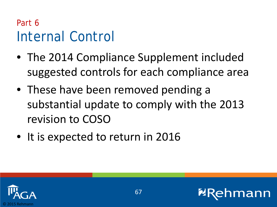#### Part 6 Internal Control

- The 2014 Compliance Supplement included suggested controls for each compliance area
- These have been removed pending a substantial update to comply with the 2013 revision to COSO
- It is expected to return in 2016



חו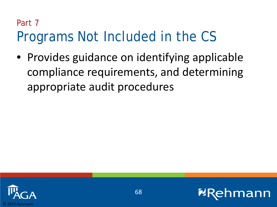#### Part 7

# Programs Not Included in the CS

• Provides guidance on identifying applicable compliance requirements, and determining appropriate audit procedures



ann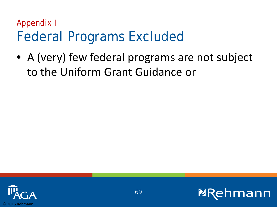#### Appendix I Federal Programs Excluded

• A (very) few federal programs are not subject to the Uniform Grant Guidance or



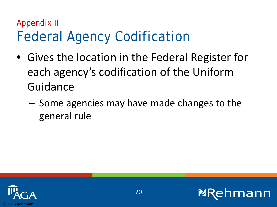#### Appendix II Federal Agency Codification

- Gives the location in the Federal Register for each agency's codification of the Uniform Guidance
	- Some agencies may have made changes to the general rule

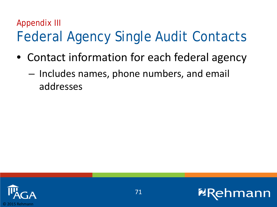## Appendix III Federal Agency Single Audit Contacts

- Contact information for each federal agency
	- Includes names, phone numbers, and email addresses

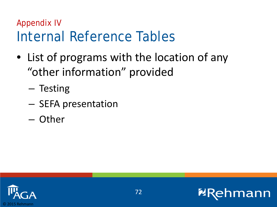#### Appendix IV Internal Reference Tables

- List of programs with the location of any "other information" provided
	- Testing
	- SEFA presentation
	- Other



mann

**2F**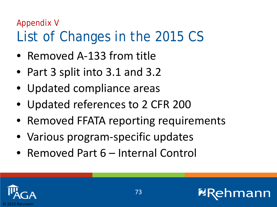## Appendix V List of Changes in the 2015 CS

- Removed A-133 from title
- Part 3 split into 3.1 and 3.2
- Updated compliance areas
- Updated references to 2 CFR 200
- Removed FFATA reporting requirements
- Various program-specific updates
- Removed Part 6 Internal Control



חו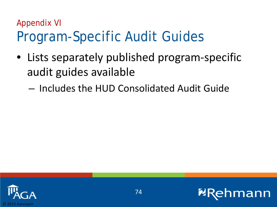## Appendix VI Program-Specific Audit Guides

- Lists separately published program-specific audit guides available
	- Includes the HUD Consolidated Audit Guide



nann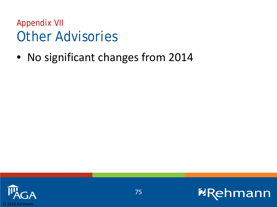Appendix VII Other Advisories

• No significant changes from 2014



**ERehmann**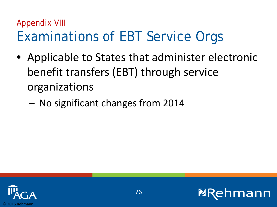## Appendix VIII Examinations of EBT Service Orgs

- Applicable to States that administer electronic benefit transfers (EBT) through service organizations
	- No significant changes from 2014



nann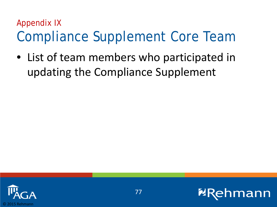#### Appendix IX Compliance Supplement Core Team

• List of team members who participated in updating the Compliance Supplement



nann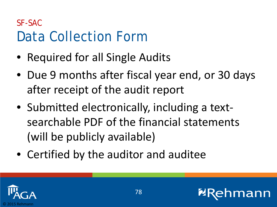#### SF-SAC Data Collection Form

- Required for all Single Audits
- Due 9 months after fiscal year end, or 30 days after receipt of the audit report
- Submitted electronically, including a textsearchable PDF of the financial statements (will be publicly available)
- Certified by the auditor and auditee



חו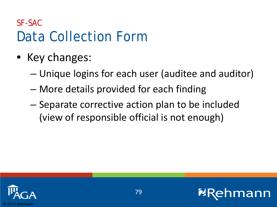#### SF-SAC Data Collection Form

- Key changes:
	- Unique logins for each user (auditee and auditor)
	- More details provided for each finding
	- Separate corrective action plan to be included (view of responsible official is not enough)



ann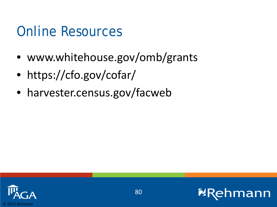# Online Resources

- www.whitehouse.gov/omb/grants
- https://cfo.gov/cofar/
- harvester.census.gov/facweb



mann

**2R**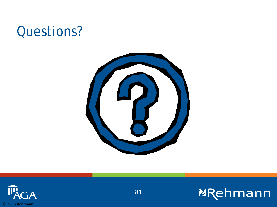## Questions?